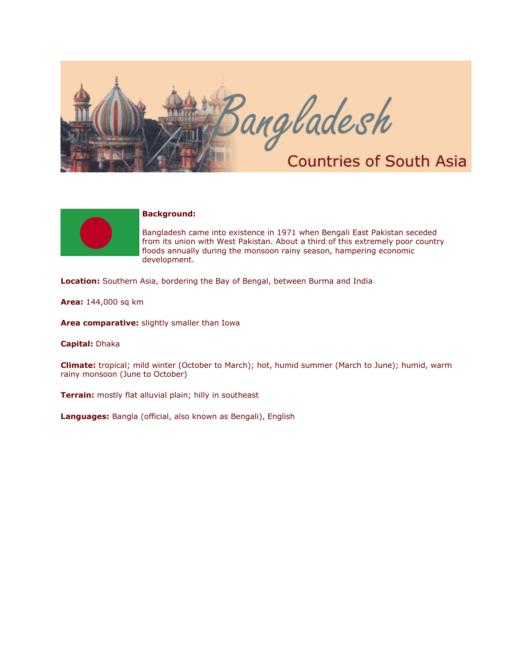



## **Background:**

Bangladesh came into existence in 1971 when Bengali East Pakistan seceded from its union with West Pakistan. About a third of this extremely poor country floods annually during the monsoon rainy season, hampering economic development.

**Location:** Southern Asia, bordering the Bay of Bengal, between Burma and India

**Area:** 144,000 sq km

**Area comparative:** slightly smaller than Iowa

**Capital:** Dhaka

**Climate:** tropical; mild winter (October to March); hot, humid summer (March to June); humid, warm rainy monsoon (June to October)

**Terrain:** mostly flat alluvial plain; hilly in southeast

**Languages:** Bangla (official, also known as Bengali), English